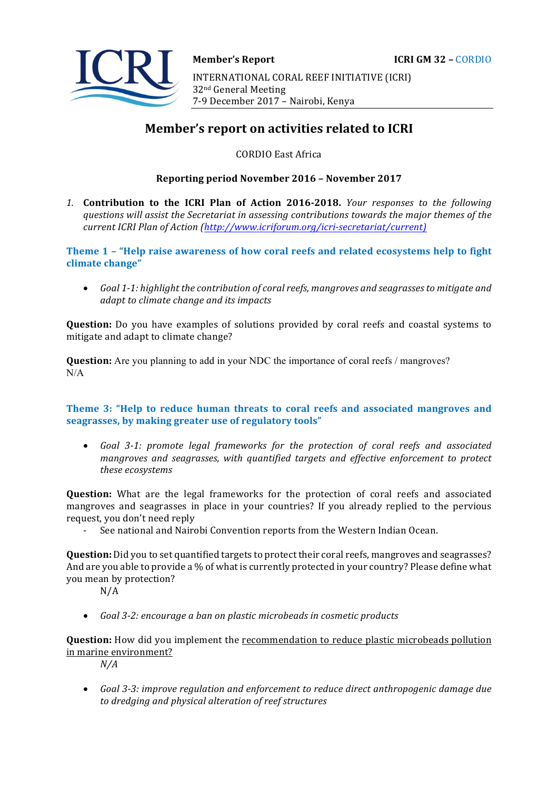

# **Member's report on activities related to ICRI**

CORDIO East Africa

### **Reporting period November 2016 – November 2017**

1. **Contribution to the ICRI Plan of Action 2016-2018.** *Your responses to the following* questions will assist the Secretariat in assessing contributions towards the major themes of the *current ICRI Plan of Action (http://www.icriforum.org/icri-secretariat/current)* 

Theme 1 - "Help raise awareness of how coral reefs and related ecosystems help to fight climate change"

• Goal 1-1: highlight the contribution of coral reefs, mangroves and seagrasses to mitigate and *adapt to climate change and its impacts* 

**Question:** Do you have examples of solutions provided by coral reefs and coastal systems to mitigate and adapt to climate change?

**Question:** Are you planning to add in your NDC the importance of coral reefs / mangroves? N/A

# **Theme 3: "Help to reduce human threats to coral reefs and associated mangroves and seagrasses, by making greater use of regulatory tools"**

• Goal 3-1: promote legal frameworks for the protection of coral reefs and associated mangroves and seagrasses, with quantified targets and effective enforcement to protect *these ecosystems* 

**Question:** What are the legal frameworks for the protection of coral reefs and associated mangroves and seagrasses in place in your countries? If you already replied to the pervious request, you don't need reply

See national and Nairobi Convention reports from the Western Indian Ocean.

**Question:** Did you to set quantified targets to protect their coral reefs, mangroves and seagrasses? And are you able to provide a % of what is currently protected in your country? Please define what you mean by protection?

 $N/A$ 

• *Goal 3-2: encourage a ban on plastic microbeads in cosmetic products* 

**Question:** How did you implement the **recommendation** to reduce plastic microbeads pollution in marine environment?

*N/A*

• Goal 3-3: improve regulation and enforcement to reduce direct anthropogenic damage due to dredging and physical alteration of reef structures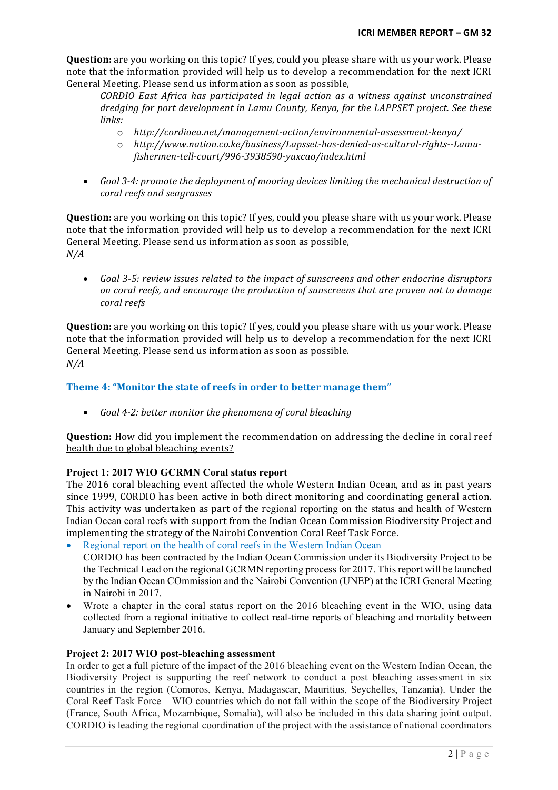**Question:** are you working on this topic? If yes, could you please share with us your work. Please note that the information provided will help us to develop a recommendation for the next ICRI General Meeting. Please send us information as soon as possible,

*CORDIO* East Africa has participated in legal action as a witness against unconstrained *dredging for port development in Lamu County, Kenya, for the LAPPSET project. See these* links:

- o *http://cordioea.net/management-action/environmental-assessment-kenya/*
- o *http://www.nation.co.ke/business/Lapsset-has-denied-us-cultural-rights--Lamufishermen-tell-court/996-3938590-yuxcao/index.html*
- Goal 3-4: promote the deployment of mooring devices limiting the mechanical destruction of *coral reefs and seagrasses*

**Question:** are you working on this topic? If yes, could you please share with us your work. Please note that the information provided will help us to develop a recommendation for the next ICRI General Meeting. Please send us information as soon as possible, *N/A*

• Goal 3-5: review issues related to the impact of sunscreens and other endocrine disruptors *on coral reefs, and encourage the production of sunscreens that are proven not to damage coral reefs* 

**Question:** are you working on this topic? If yes, could you please share with us your work. Please note that the information provided will help us to develop a recommendation for the next ICRI General Meeting. Please send us information as soon as possible. *N/A*

# **Theme 4: "Monitor the state of reefs in order to better manage them"**

• *Goal 4-2: better monitor the phenomena of coral bleaching* 

**Question:** How did you implement the recommendation on addressing the decline in coral reef health due to global bleaching events?

# **Project 1: 2017 WIO GCRMN Coral status report**

The 2016 coral bleaching event affected the whole Western Indian Ocean, and as in past years since 1999, CORDIO has been active in both direct monitoring and coordinating general action. This activity was undertaken as part of the regional reporting on the status and health of Western Indian Ocean coral reefs with support from the Indian Ocean Commission Biodiversity Project and implementing the strategy of the Nairobi Convention Coral Reef Task Force.

Regional report on the health of coral reefs in the Western Indian Ocean

CORDIO has been contracted by the Indian Ocean Commission under its Biodiversity Project to be the Technical Lead on the regional GCRMN reporting process for 2017. This report will be launched by the Indian Ocean COmmission and the Nairobi Convention (UNEP) at the ICRI General Meeting in Nairobi in 2017.

• Wrote a chapter in the coral status report on the 2016 bleaching event in the WIO, using data collected from a regional initiative to collect real-time reports of bleaching and mortality between January and September 2016.

#### **Project 2: 2017 WIO post-bleaching assessment**

In order to get a full picture of the impact of the 2016 bleaching event on the Western Indian Ocean, the Biodiversity Project is supporting the reef network to conduct a post bleaching assessment in six countries in the region (Comoros, Kenya, Madagascar, Mauritius, Seychelles, Tanzania). Under the Coral Reef Task Force – WIO countries which do not fall within the scope of the Biodiversity Project (France, South Africa, Mozambique, Somalia), will also be included in this data sharing joint output. CORDIO is leading the regional coordination of the project with the assistance of national coordinators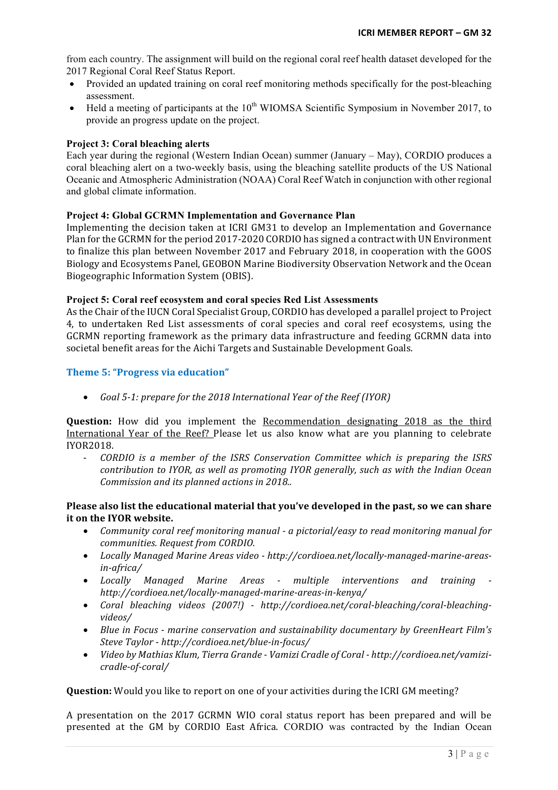from each country. The assignment will build on the regional coral reef health dataset developed for the 2017 Regional Coral Reef Status Report.

- Provided an updated training on coral reef monitoring methods specifically for the post-bleaching assessment.
- Held a meeting of participants at the  $10^{th}$  WIOMSA Scientific Symposium in November 2017, to provide an progress update on the project.

### **Project 3: Coral bleaching alerts**

Each year during the regional (Western Indian Ocean) summer (January – May), CORDIO produces a coral bleaching alert on a two-weekly basis, using the bleaching satellite products of the US National Oceanic and Atmospheric Administration (NOAA) Coral Reef Watch in conjunction with other regional and global climate information.

# **Project 4: Global GCRMN Implementation and Governance Plan**

Implementing the decision taken at ICRI GM31 to develop an Implementation and Governance Plan for the GCRMN for the period 2017-2020 CORDIO has signed a contract with UN Environment to finalize this plan between November 2017 and February 2018, in cooperation with the GOOS Biology and Ecosystems Panel, GEOBON Marine Biodiversity Observation Network and the Ocean Biogeographic Information System (OBIS).

#### **Project 5: Coral reef ecosystem and coral species Red List Assessments**

As the Chair of the IUCN Coral Specialist Group, CORDIO has developed a parallel project to Project 4, to undertaken Red List assessments of coral species and coral reef ecosystems, using the GCRMN reporting framework as the primary data infrastructure and feeding GCRMN data into societal benefit areas for the Aichi Targets and Sustainable Development Goals.

#### **Theme 5: "Progress via education"**

• *Goal* 5-1: prepare for the 2018 International Year of the Reef (IYOR)

**Question:** How did you implement the Recommendation designating 2018 as the third International Year of the Reef? Please let us also know what are you planning to celebrate IYOR2018.

*CORDIO* is a member of the *ISRS* Conservation Committee which is preparing the *ISRS contribution to IYOR, as well as promoting IYOR generally, such as with the Indian Ocean Commission and its planned actions in 2018..* 

# Please also list the educational material that you've developed in the past, so we can share **it on the IYOR website.**

- Community coral reef monitoring manual  *a pictorial/easy to read monitoring manual for communities. Request from CORDIO.*
- Locally Managed Marine Areas video http://cordioea.net/locally-managed-marine-areas*in-africa/*
- Locally Managed Marine Areas *-* multiple interventions and training *http://cordioea.net/locally-managed-marine-areas-in-kenya/*
- Coral bleaching videos (2007!) http://cordioea.net/coral-bleaching/coral-bleaching*videos/*
- Blue in Focus marine conservation and sustainability documentary by GreenHeart Film's *Steve Taylor - http://cordioea.net/blue-in-focus/*
- Video by Mathias Klum, Tierra Grande Vamizi Cradle of Coral http://cordioea.net/vamizi*cradle-of-coral/*

**Question:** Would you like to report on one of your activities during the ICRI GM meeting?

A presentation on the 2017 GCRMN WIO coral status report has been prepared and will be presented at the GM by CORDIO East Africa. CORDIO was contracted by the Indian Ocean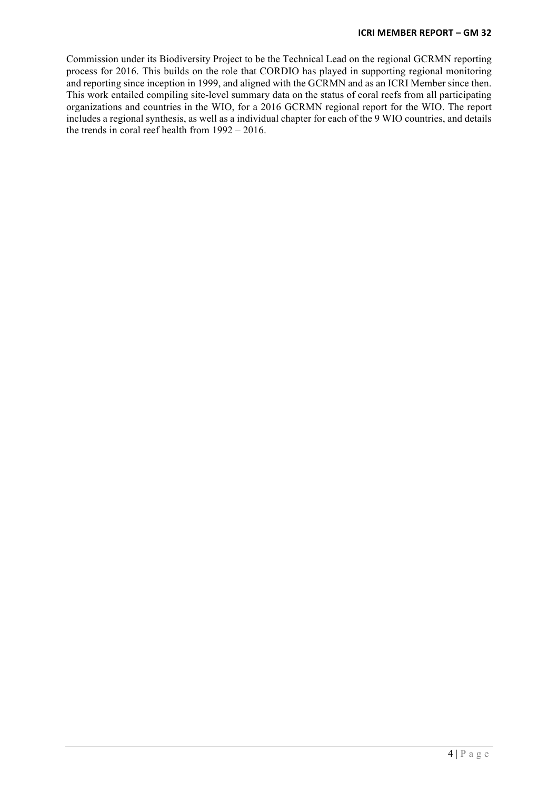Commission under its Biodiversity Project to be the Technical Lead on the regional GCRMN reporting process for 2016. This builds on the role that CORDIO has played in supporting regional monitoring and reporting since inception in 1999, and aligned with the GCRMN and as an ICRI Member since then. This work entailed compiling site-level summary data on the status of coral reefs from all participating organizations and countries in the WIO, for a 2016 GCRMN regional report for the WIO. The report includes a regional synthesis, as well as a individual chapter for each of the 9 WIO countries, and details the trends in coral reef health from 1992 – 2016.